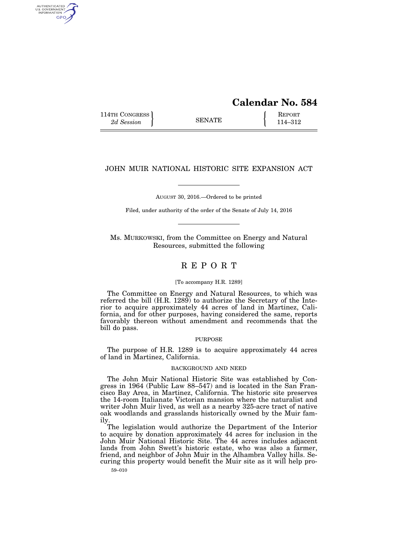## **Calendar No. 584**

114TH CONGRESS **REPORT** 2d Session **114–312** 

AUTHENTICATED<br>U.S. GOVERNMENT<br>INFORMATION GPO

## JOHN MUIR NATIONAL HISTORIC SITE EXPANSION ACT

AUGUST 30, 2016.—Ordered to be printed

Filed, under authority of the order of the Senate of July 14, 2016

Ms. MURKOWSKI, from the Committee on Energy and Natural Resources, submitted the following

### R E P O R T

#### [To accompany H.R. 1289]

The Committee on Energy and Natural Resources, to which was referred the bill (H.R. 1289) to authorize the Secretary of the Interior to acquire approximately 44 acres of land in Martinez, California, and for other purposes, having considered the same, reports favorably thereon without amendment and recommends that the bill do pass.

#### PURPOSE

The purpose of H.R. 1289 is to acquire approximately 44 acres of land in Martinez, California.

#### BACKGROUND AND NEED

The John Muir National Historic Site was established by Congress in 1964 (Public Law 88–547) and is located in the San Francisco Bay Area, in Martinez, California. The historic site preserves the 14-room Italianate Victorian mansion where the naturalist and writer John Muir lived, as well as a nearby 325-acre tract of native oak woodlands and grasslands historically owned by the Muir family.

The legislation would authorize the Department of the Interior to acquire by donation approximately 44 acres for inclusion in the John Muir National Historic Site. The 44 acres includes adjacent lands from John Swett's historic estate, who was also a farmer, friend, and neighbor of John Muir in the Alhambra Valley hills. Securing this property would benefit the Muir site as it will help pro-

59–010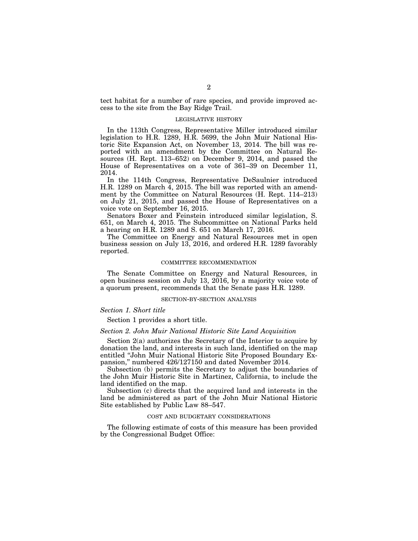tect habitat for a number of rare species, and provide improved access to the site from the Bay Ridge Trail.

#### LEGISLATIVE HISTORY

In the 113th Congress, Representative Miller introduced similar legislation to H.R. 1289, H.R. 5699, the John Muir National Historic Site Expansion Act, on November 13, 2014. The bill was reported with an amendment by the Committee on Natural Resources (H. Rept. 113–652) on December 9, 2014, and passed the House of Representatives on a vote of 361–39 on December 11, 2014.

In the 114th Congress, Representative DeSaulnier introduced H.R. 1289 on March  $\overline{4}$ , 2015. The bill was reported with an amendment by the Committee on Natural Resources (H. Rept. 114–213) on July 21, 2015, and passed the House of Representatives on a voice vote on September 16, 2015.

Senators Boxer and Feinstein introduced similar legislation, S. 651, on March 4, 2015. The Subcommittee on National Parks held a hearing on H.R. 1289 and S. 651 on March 17, 2016.

The Committee on Energy and Natural Resources met in open business session on July 13, 2016, and ordered H.R. 1289 favorably reported.

#### COMMITTEE RECOMMENDATION

The Senate Committee on Energy and Natural Resources, in open business session on July 13, 2016, by a majority voice vote of a quorum present, recommends that the Senate pass H.R. 1289.

#### SECTION-BY-SECTION ANALYSIS

#### *Section 1. Short title*

Section 1 provides a short title.

#### *Section 2. John Muir National Historic Site Land Acquisition*

Section 2(a) authorizes the Secretary of the Interior to acquire by donation the land, and interests in such land, identified on the map entitled ''John Muir National Historic Site Proposed Boundary Expansion,'' numbered 426/127150 and dated November 2014.

Subsection (b) permits the Secretary to adjust the boundaries of the John Muir Historic Site in Martinez, California, to include the land identified on the map.

Subsection (c) directs that the acquired land and interests in the land be administered as part of the John Muir National Historic Site established by Public Law 88–547.

#### COST AND BUDGETARY CONSIDERATIONS

The following estimate of costs of this measure has been provided by the Congressional Budget Office: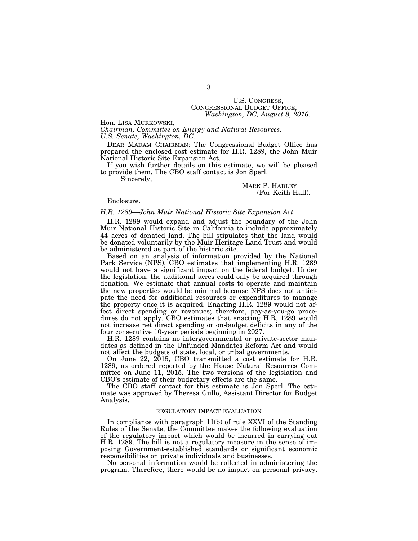# U.S. CONGRESS, CONGRESSIONAL BUDGET OFFICE, *Washington, DC, August 8, 2016.*

Hon. LISA MURKOWSKI,

*Chairman, Committee on Energy and Natural Resources, U.S. Senate, Washington, DC.* 

DEAR MADAM CHAIRMAN: The Congressional Budget Office has prepared the enclosed cost estimate for H.R. 1289, the John Muir National Historic Site Expansion Act.

If you wish further details on this estimate, we will be pleased to provide them. The CBO staff contact is Jon Sperl.

Sincerely,

#### MARK P. HADLEY (For Keith Hall).

Enclosure.

#### *H.R. 1289—John Muir National Historic Site Expansion Act*

H.R. 1289 would expand and adjust the boundary of the John Muir National Historic Site in California to include approximately 44 acres of donated land. The bill stipulates that the land would be donated voluntarily by the Muir Heritage Land Trust and would be administered as part of the historic site.

Based on an analysis of information provided by the National Park Service (NPS), CBO estimates that implementing H.R. 1289 would not have a significant impact on the federal budget. Under the legislation, the additional acres could only be acquired through donation. We estimate that annual costs to operate and maintain the new properties would be minimal because NPS does not anticipate the need for additional resources or expenditures to manage the property once it is acquired. Enacting H.R. 1289 would not affect direct spending or revenues; therefore, pay-as-you-go procedures do not apply. CBO estimates that enacting H.R. 1289 would not increase net direct spending or on-budget deficits in any of the four consecutive 10-year periods beginning in 2027.

H.R. 1289 contains no intergovernmental or private-sector mandates as defined in the Unfunded Mandates Reform Act and would not affect the budgets of state, local, or tribal governments.

On June 22, 2015, CBO transmitted a cost estimate for H.R. 1289, as ordered reported by the House Natural Resources Committee on June 11, 2015. The two versions of the legislation and CBO's estimate of their budgetary effects are the same.

The CBO staff contact for this estimate is Jon Sperl. The estimate was approved by Theresa Gullo, Assistant Director for Budget Analysis.

#### REGULATORY IMPACT EVALUATION

In compliance with paragraph 11(b) of rule XXVI of the Standing Rules of the Senate, the Committee makes the following evaluation of the regulatory impact which would be incurred in carrying out H.R. 1289. The bill is not a regulatory measure in the sense of imposing Government-established standards or significant economic responsibilities on private individuals and businesses.

No personal information would be collected in administering the program. Therefore, there would be no impact on personal privacy.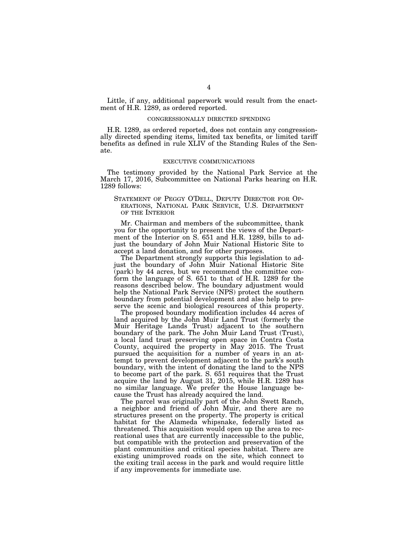Little, if any, additional paperwork would result from the enactment of H.R. 1289, as ordered reported.

#### CONGRESSIONALLY DIRECTED SPENDING

H.R. 1289, as ordered reported, does not contain any congressionally directed spending items, limited tax benefits, or limited tariff benefits as defined in rule XLIV of the Standing Rules of the Senate.

#### EXECUTIVE COMMUNICATIONS

The testimony provided by the National Park Service at the March 17, 2016, Subcommittee on National Parks hearing on H.R. 1289 follows:

#### STATEMENT OF PEGGY O'DELL, DEPUTY DIRECTOR FOR OP-ERATIONS, NATIONAL PARK SERVICE, U.S. DEPARTMENT OF THE INTERIOR

Mr. Chairman and members of the subcommittee, thank you for the opportunity to present the views of the Department of the Interior on S. 651 and H.R. 1289, bills to adjust the boundary of John Muir National Historic Site to accept a land donation, and for other purposes.

The Department strongly supports this legislation to adjust the boundary of John Muir National Historic Site (park) by 44 acres, but we recommend the committee conform the language of S. 651 to that of H.R. 1289 for the reasons described below. The boundary adjustment would help the National Park Service (NPS) protect the southern boundary from potential development and also help to preserve the scenic and biological resources of this property.

The proposed boundary modification includes 44 acres of land acquired by the John Muir Land Trust (formerly the Muir Heritage Lands Trust) adjacent to the southern boundary of the park. The John Muir Land Trust (Trust), a local land trust preserving open space in Contra Costa County, acquired the property in May 2015. The Trust pursued the acquisition for a number of years in an attempt to prevent development adjacent to the park's south boundary, with the intent of donating the land to the NPS to become part of the park. S. 651 requires that the Trust acquire the land by August 31, 2015, while H.R. 1289 has no similar language. We prefer the House language because the Trust has already acquired the land.

The parcel was originally part of the John Swett Ranch, a neighbor and friend of John Muir, and there are no structures present on the property. The property is critical habitat for the Alameda whipsnake, federally listed as threatened. This acquisition would open up the area to recreational uses that are currently inaccessible to the public, but compatible with the protection and preservation of the plant communities and critical species habitat. There are existing unimproved roads on the site, which connect to the exiting trail access in the park and would require little if any improvements for immediate use.